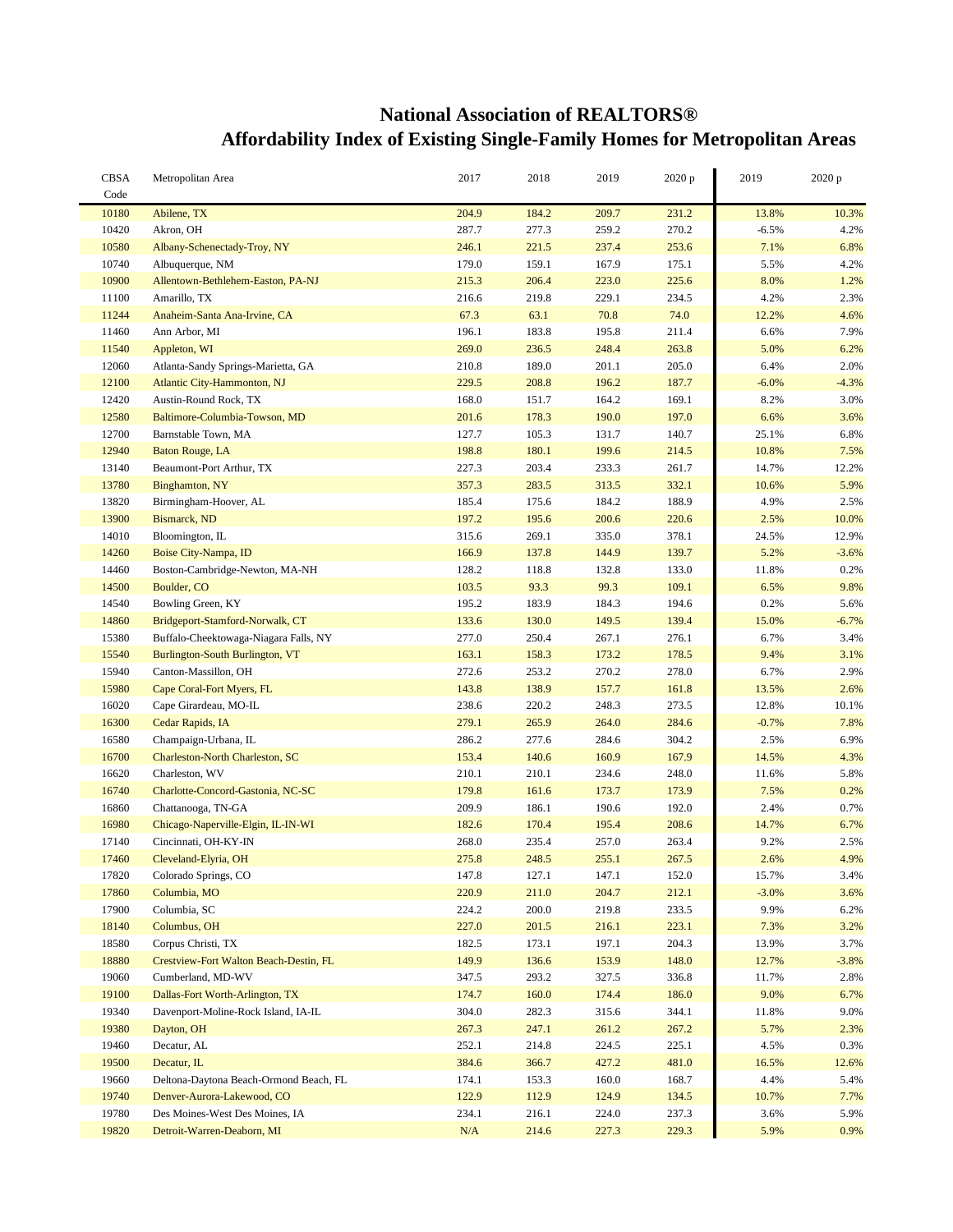## **National Association of REALTORS® Affordability Index of Existing Single-Family Homes for Metropolitan Areas**

| <b>CBSA</b><br>Code | Metropolitan Area                      | 2017  | 2018  | 2019  | 2020 p | 2019    | 2020 p  |
|---------------------|----------------------------------------|-------|-------|-------|--------|---------|---------|
| 10180               | Abilene, TX                            | 204.9 | 184.2 | 209.7 | 231.2  | 13.8%   | 10.3%   |
| 10420               | Akron, OH                              | 287.7 | 277.3 | 259.2 | 270.2  | $-6.5%$ | 4.2%    |
| 10580               | Albany-Schenectady-Troy, NY            | 246.1 | 221.5 | 237.4 | 253.6  | 7.1%    | 6.8%    |
| 10740               | Albuquerque, NM                        | 179.0 | 159.1 | 167.9 | 175.1  | 5.5%    | 4.2%    |
| 10900               |                                        | 215.3 | 206.4 | 223.0 | 225.6  | 8.0%    | 1.2%    |
|                     | Allentown-Bethlehem-Easton, PA-NJ      |       |       |       |        |         |         |
| 11100               | Amarillo, TX                           | 216.6 | 219.8 | 229.1 | 234.5  | 4.2%    | 2.3%    |
| 11244               | Anaheim-Santa Ana-Irvine, CA           | 67.3  | 63.1  | 70.8  | 74.0   | 12.2%   | 4.6%    |
| 11460               | Ann Arbor, MI                          | 196.1 | 183.8 | 195.8 | 211.4  | 6.6%    | 7.9%    |
| 11540               | Appleton, WI                           | 269.0 | 236.5 | 248.4 | 263.8  | 5.0%    | 6.2%    |
| 12060               | Atlanta-Sandy Springs-Marietta, GA     | 210.8 | 189.0 | 201.1 | 205.0  | 6.4%    | 2.0%    |
| 12100               | Atlantic City-Hammonton, NJ            | 229.5 | 208.8 | 196.2 | 187.7  | $-6.0%$ | $-4.3%$ |
| 12420               | Austin-Round Rock, TX                  | 168.0 | 151.7 | 164.2 | 169.1  | 8.2%    | 3.0%    |
| 12580               | Baltimore-Columbia-Towson, MD          | 201.6 | 178.3 | 190.0 | 197.0  | 6.6%    | 3.6%    |
| 12700               | Barnstable Town, MA                    | 127.7 | 105.3 | 131.7 | 140.7  | 25.1%   | 6.8%    |
| 12940               | <b>Baton Rouge, LA</b>                 | 198.8 | 180.1 | 199.6 | 214.5  | 10.8%   | 7.5%    |
| 13140               | Beaumont-Port Arthur, TX               | 227.3 | 203.4 | 233.3 | 261.7  | 14.7%   | 12.2%   |
| 13780               | Binghamton, NY                         | 357.3 | 283.5 | 313.5 | 332.1  | 10.6%   | 5.9%    |
| 13820               | Birmingham-Hoover, AL                  | 185.4 | 175.6 | 184.2 | 188.9  | 4.9%    | 2.5%    |
| 13900               | Bismarck, ND                           | 197.2 | 195.6 | 200.6 | 220.6  | 2.5%    | 10.0%   |
| 14010               | Bloomington, IL                        | 315.6 | 269.1 | 335.0 | 378.1  | 24.5%   | 12.9%   |
| 14260               | Boise City-Nampa, ID                   | 166.9 | 137.8 | 144.9 | 139.7  | 5.2%    | $-3.6%$ |
| 14460               | Boston-Cambridge-Newton, MA-NH         | 128.2 | 118.8 | 132.8 | 133.0  | 11.8%   | 0.2%    |
| 14500               | Boulder, CO                            | 103.5 | 93.3  | 99.3  | 109.1  | 6.5%    | 9.8%    |
| 14540               | Bowling Green, KY                      | 195.2 | 183.9 | 184.3 | 194.6  | 0.2%    | 5.6%    |
| 14860               | Bridgeport-Stamford-Norwalk, CT        | 133.6 | 130.0 | 149.5 | 139.4  | 15.0%   | $-6.7%$ |
| 15380               | Buffalo-Cheektowaga-Niagara Falls, NY  | 277.0 | 250.4 | 267.1 | 276.1  | 6.7%    | 3.4%    |
| 15540               | Burlington-South Burlington, VT        | 163.1 | 158.3 | 173.2 | 178.5  | 9.4%    | 3.1%    |
| 15940               | Canton-Massillon, OH                   | 272.6 | 253.2 | 270.2 | 278.0  | 6.7%    | 2.9%    |
| 15980               | Cape Coral-Fort Myers, FL              | 143.8 | 138.9 | 157.7 | 161.8  | 13.5%   | 2.6%    |
| 16020               | Cape Girardeau, MO-IL                  | 238.6 | 220.2 | 248.3 | 273.5  | 12.8%   | 10.1%   |
| 16300               |                                        | 279.1 | 265.9 | 264.0 | 284.6  | $-0.7%$ | 7.8%    |
| 16580               | Cedar Rapids, IA                       | 286.2 | 277.6 |       | 304.2  | 2.5%    | 6.9%    |
|                     | Champaign-Urbana, IL                   |       |       | 284.6 |        |         |         |
| 16700               | Charleston-North Charleston, SC        | 153.4 | 140.6 | 160.9 | 167.9  | 14.5%   | 4.3%    |
| 16620               | Charleston, WV                         | 210.1 | 210.1 | 234.6 | 248.0  | 11.6%   | 5.8%    |
| 16740               | Charlotte-Concord-Gastonia, NC-SC      | 179.8 | 161.6 | 173.7 | 173.9  | 7.5%    | 0.2%    |
| 16860               | Chattanooga, TN-GA                     | 209.9 | 186.1 | 190.6 | 192.0  | 2.4%    | 0.7%    |
| 16980               | Chicago-Naperville-Elgin, IL-IN-WI     | 182.6 | 170.4 | 195.4 | 208.6  | 14.7%   | 6.7%    |
| 17140               | Cincinnati, OH-KY-IN                   | 268.0 | 235.4 | 257.0 | 263.4  | 9.2%    | 2.5%    |
| 17460               | Cleveland-Elyria, OH                   | 275.8 | 248.5 | 255.1 | 267.5  | 2.6%    | 4.9%    |
| 17820               | Colorado Springs, CO                   | 147.8 | 127.1 | 147.1 | 152.0  | 15.7%   | 3.4%    |
| 17860               | Columbia, MO                           | 220.9 | 211.0 | 204.7 | 212.1  | $-3.0%$ | 3.6%    |
| 17900               | Columbia, SC                           | 224.2 | 200.0 | 219.8 | 233.5  | 9.9%    | 6.2%    |
| 18140               | Columbus, OH                           | 227.0 | 201.5 | 216.1 | 223.1  | 7.3%    | 3.2%    |
| 18580               | Corpus Christi, TX                     | 182.5 | 173.1 | 197.1 | 204.3  | 13.9%   | 3.7%    |
| 18880               | Crestview-Fort Walton Beach-Destin, FL | 149.9 | 136.6 | 153.9 | 148.0  | 12.7%   | $-3.8%$ |
| 19060               | Cumberland, MD-WV                      | 347.5 | 293.2 | 327.5 | 336.8  | 11.7%   | 2.8%    |
| 19100               | Dallas-Fort Worth-Arlington, TX        | 174.7 | 160.0 | 174.4 | 186.0  | 9.0%    | 6.7%    |
| 19340               | Davenport-Moline-Rock Island, IA-IL    | 304.0 | 282.3 | 315.6 | 344.1  | 11.8%   | 9.0%    |
| 19380               | Dayton, OH                             | 267.3 | 247.1 | 261.2 | 267.2  | 5.7%    | 2.3%    |
| 19460               | Decatur, AL                            | 252.1 | 214.8 | 224.5 | 225.1  | 4.5%    | 0.3%    |
| 19500               | Decatur, IL                            | 384.6 | 366.7 | 427.2 | 481.0  | 16.5%   | 12.6%   |
| 19660               | Deltona-Daytona Beach-Ormond Beach, FL | 174.1 | 153.3 | 160.0 | 168.7  | 4.4%    | 5.4%    |
| 19740               | Denver-Aurora-Lakewood, CO             | 122.9 | 112.9 | 124.9 | 134.5  | 10.7%   | 7.7%    |
| 19780               | Des Moines-West Des Moines, IA         | 234.1 | 216.1 | 224.0 | 237.3  | 3.6%    | 5.9%    |
| 19820               | Detroit-Warren-Deaborn, MI             | N/A   | 214.6 | 227.3 | 229.3  | 5.9%    | 0.9%    |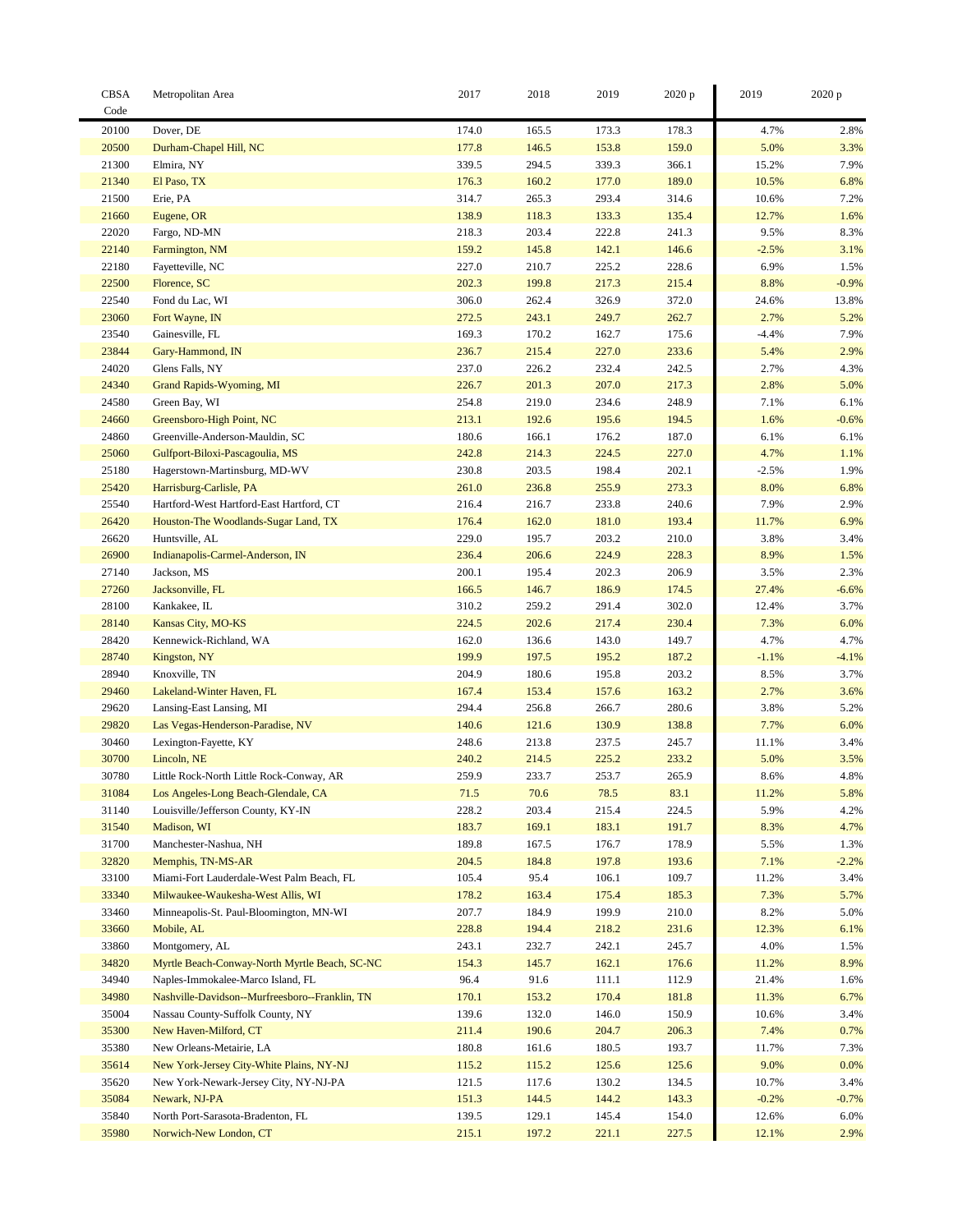| <b>CBSA</b>    | Metropolitan Area                              | 2017           | 2018           | 2019           | 2020 p         | 2019           | 2020 p       |
|----------------|------------------------------------------------|----------------|----------------|----------------|----------------|----------------|--------------|
| Code           |                                                |                |                |                |                |                |              |
| 20100          | Dover, DE                                      | 174.0          | 165.5          | 173.3          | 178.3          | 4.7%           | 2.8%         |
| 20500          | Durham-Chapel Hill, NC                         | 177.8          | 146.5          | 153.8          | 159.0          | 5.0%           | 3.3%         |
| 21300          | Elmira, NY                                     | 339.5          | 294.5          | 339.3          | 366.1          | 15.2%          | 7.9%         |
| 21340          | El Paso, TX                                    | 176.3          | 160.2          | 177.0          | 189.0          | 10.5%          | 6.8%         |
| 21500          | Erie, PA                                       | 314.7          | 265.3          | 293.4          | 314.6          | 10.6%          | 7.2%         |
| 21660          | Eugene, OR                                     | 138.9          | 118.3          | 133.3          | 135.4          | 12.7%          | 1.6%         |
| 22020          | Fargo, ND-MN                                   | 218.3          | 203.4          | 222.8          | 241.3          | 9.5%           | 8.3%         |
| 22140          | Farmington, NM                                 | 159.2          | 145.8          | 142.1          | 146.6          | $-2.5%$        | 3.1%         |
| 22180          | Fayetteville, NC                               | 227.0          | 210.7          | 225.2          | 228.6          | 6.9%           | 1.5%         |
| 22500          | Florence, SC                                   | 202.3          | 199.8          | 217.3          | 215.4          | 8.8%           | $-0.9%$      |
| 22540          | Fond du Lac, WI                                | 306.0          | 262.4          | 326.9          | 372.0          | 24.6%          | 13.8%        |
| 23060          | Fort Wayne, IN                                 | 272.5          | 243.1          | 249.7          | 262.7          | 2.7%           | 5.2%         |
| 23540          | Gainesville, FL                                | 169.3          | 170.2          | 162.7          | 175.6          | $-4.4%$        | 7.9%         |
| 23844          | Gary-Hammond, IN                               | 236.7          | 215.4          | 227.0          | 233.6          | 5.4%           | 2.9%         |
| 24020          | Glens Falls, NY                                | 237.0          | 226.2          | 232.4          | 242.5          | 2.7%           | 4.3%         |
| 24340          | Grand Rapids-Wyoming, MI                       | 226.7          | 201.3          | 207.0          | 217.3          | 2.8%           | 5.0%         |
| 24580          | Green Bay, WI                                  | 254.8          | 219.0          | 234.6          | 248.9          | 7.1%           | 6.1%         |
| 24660          | Greensboro-High Point, NC                      | 213.1          | 192.6          | 195.6          | 194.5          | 1.6%           | $-0.6%$      |
| 24860          | Greenville-Anderson-Mauldin, SC                | 180.6          | 166.1          | 176.2          | 187.0          | 6.1%           | 6.1%         |
| 25060          | Gulfport-Biloxi-Pascagoulia, MS                | 242.8          | 214.3          | 224.5          | 227.0          | 4.7%           | 1.1%         |
| 25180          | Hagerstown-Martinsburg, MD-WV                  | 230.8          | 203.5          | 198.4          | 202.1          | $-2.5%$        | 1.9%         |
| 25420          | Harrisburg-Carlisle, PA                        | 261.0          | 236.8          | 255.9          | 273.3          | 8.0%           | 6.8%         |
| 25540          | Hartford-West Hartford-East Hartford, CT       | 216.4          | 216.7          | 233.8          | 240.6          | 7.9%           | 2.9%         |
| 26420          | Houston-The Woodlands-Sugar Land, TX           | 176.4          | 162.0          | 181.0          | 193.4          | 11.7%          | 6.9%         |
| 26620          | Huntsville, AL                                 | 229.0          | 195.7          | 203.2          | 210.0          | 3.8%           | 3.4%         |
| 26900          | Indianapolis-Carmel-Anderson, IN               | 236.4          | 206.6          | 224.9          | 228.3          | 8.9%           | 1.5%         |
| 27140          | Jackson, MS                                    | 200.1          | 195.4          | 202.3          | 206.9          | 3.5%           | 2.3%         |
| 27260          | Jacksonville, FL                               | 166.5          | 146.7          | 186.9          | 174.5          | 27.4%          | $-6.6%$      |
| 28100          | Kankakee, IL                                   | 310.2          | 259.2          | 291.4          | 302.0          | 12.4%          | 3.7%         |
| 28140          | Kansas City, MO-KS                             | 224.5          | 202.6          | 217.4          | 230.4          | 7.3%           | 6.0%         |
| 28420          | Kennewick-Richland, WA                         | 162.0          | 136.6          | 143.0          | 149.7          | 4.7%           | 4.7%         |
| 28740          | Kingston, NY                                   | 199.9          | 197.5          | 195.2          | 187.2          | $-1.1%$        | $-4.1%$      |
| 28940          | Knoxville, TN                                  | 204.9          | 180.6          | 195.8          | 203.2          | 8.5%           | 3.7%         |
| 29460          | Lakeland-Winter Haven, FL                      | 167.4          | 153.4          | 157.6          | 163.2          | 2.7%           | 3.6%         |
| 29620          | Lansing-East Lansing, MI                       | 294.4          | 256.8          | 266.7          | 280.6          | 3.8%           | 5.2%         |
| 29820          | Las Vegas-Henderson-Paradise, NV               | 140.6          | 121.6          | 130.9          | 138.8          | 7.7%           | 6.0%         |
| 30460          | Lexington-Fayette, KY                          | 248.6          | 213.8          | 237.5          | 245.7          | 11.1%          | 3.4%         |
| 30700          | Lincoln, NE                                    | 240.2          | 214.5          | 225.2          | 233.2          | 5.0%           | 3.5%         |
| 30780          | Little Rock-North Little Rock-Conway, AR       | 259.9          | 233.7          | 253.7          | 265.9          | 8.6%           | 4.8%         |
| 31084          | Los Angeles-Long Beach-Glendale, CA            | 71.5           | 70.6           | 78.5           | 83.1           | 11.2%          | 5.8%         |
| 31140          | Louisville/Jefferson County, KY-IN             | 228.2          | 203.4          | 215.4          | 224.5          | 5.9%           | 4.2%         |
| 31540          | Madison, WI                                    | 183.7          | 169.1          | 183.1          | 191.7          | 8.3%           | 4.7%         |
| 31700          | Manchester-Nashua, NH                          | 189.8          | 167.5          | 176.7          | 178.9          | 5.5%           | 1.3%         |
| 32820          | Memphis, TN-MS-AR                              | 204.5          | 184.8          | 197.8          | 193.6          | 7.1%           | $-2.2%$      |
| 33100          | Miami-Fort Lauderdale-West Palm Beach, FL      | 105.4          | 95.4           | 106.1          | 109.7          | 11.2%          | 3.4%         |
| 33340          | Milwaukee-Waukesha-West Allis, WI              | 178.2          | 163.4          | 175.4          | 185.3          | 7.3%           | 5.7%         |
| 33460          | Minneapolis-St. Paul-Bloomington, MN-WI        | 207.7          | 184.9          | 199.9          | 210.0          | 8.2%           | $5.0\%$      |
| 33660          | Mobile, AL                                     | 228.8          | 194.4          | 218.2          | 231.6          | 12.3%          | 6.1%         |
| 33860          | Montgomery, AL                                 | 243.1          | 232.7          | 242.1          | 245.7          | 4.0%           | 1.5%         |
| 34820          | Myrtle Beach-Conway-North Myrtle Beach, SC-NC  | 154.3          | 145.7          | 162.1          | 176.6          | 11.2%          | 8.9%         |
| 34940          | Naples-Immokalee-Marco Island, FL              | 96.4           | 91.6           | 111.1          | 112.9          | 21.4%          | 1.6%         |
| 34980          | Nashville-Davidson--Murfreesboro--Franklin, TN | 170.1          | 153.2          | 170.4          | 181.8          | 11.3%          | 6.7%         |
| 35004          | Nassau County-Suffolk County, NY               | 139.6          | 132.0          | 146.0          | 150.9          | 10.6%          | 3.4%         |
| 35300          |                                                | 211.4          |                |                |                | 7.4%           |              |
|                | New Haven-Milford, CT                          |                | 190.6          | 204.7          | 206.3          |                | 0.7%         |
| 35380<br>35614 | New Orleans-Metairie, LA                       | 180.8          | 161.6          | 180.5          | 193.7          | 11.7%<br>9.0%  | 7.3%         |
| 35620          | New York-Jersey City-White Plains, NY-NJ       | 115.2<br>121.5 | 115.2          | 125.6<br>130.2 | 125.6          | 10.7%          | 0.0%<br>3.4% |
|                | New York-Newark-Jersey City, NY-NJ-PA          |                | 117.6          |                | 134.5          |                |              |
| 35084          | Newark, NJ-PA                                  | 151.3          | 144.5          | 144.2          | 143.3          | $-0.2%$        | $-0.7%$      |
| 35840<br>35980 | North Port-Sarasota-Bradenton, FL              | 139.5<br>215.1 | 129.1<br>197.2 | 145.4<br>221.1 | 154.0<br>227.5 | 12.6%<br>12.1% | 6.0%<br>2.9% |
|                | Norwich-New London, CT                         |                |                |                |                |                |              |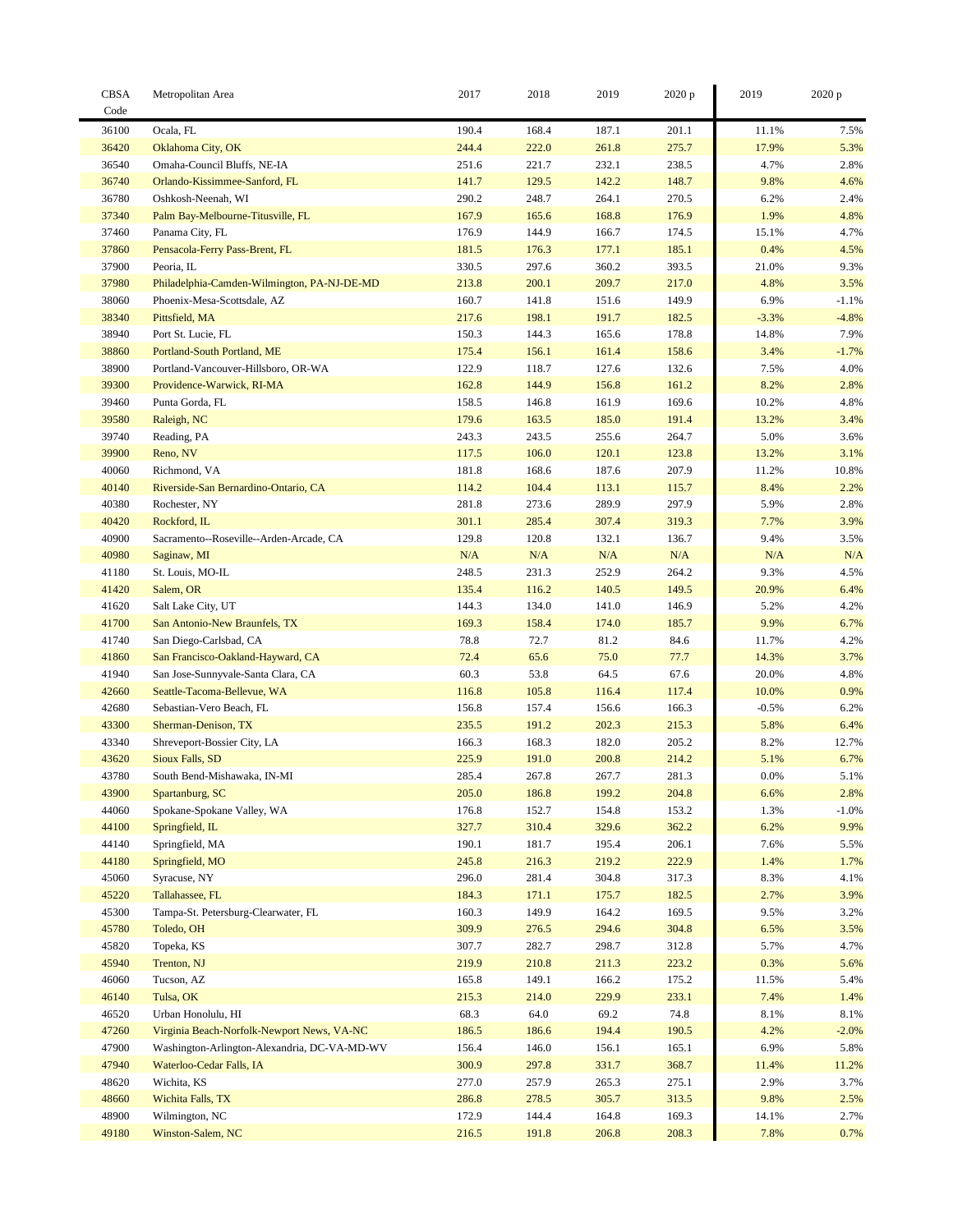| <b>CBSA</b><br>Code | Metropolitan Area                                | 2017           | 2018      | 2019           | 2020 p | 2019    | 2020 p       |
|---------------------|--------------------------------------------------|----------------|-----------|----------------|--------|---------|--------------|
| 36100               | Ocala, FL                                        | 190.4          | 168.4     | 187.1          | 201.1  | 11.1%   | 7.5%         |
| 36420               |                                                  | 244.4          | 222.0     | 261.8          | 275.7  | 17.9%   | 5.3%         |
| 36540               | Oklahoma City, OK<br>Omaha-Council Bluffs, NE-IA |                | 221.7     |                | 238.5  | 4.7%    |              |
| 36740               | Orlando-Kissimmee-Sanford, FL                    | 251.6<br>141.7 | 129.5     | 232.1<br>142.2 | 148.7  | 9.8%    | 2.8%<br>4.6% |
|                     |                                                  |                |           |                |        |         |              |
| 36780               | Oshkosh-Neenah, WI                               | 290.2          | 248.7     | 264.1          | 270.5  | 6.2%    | 2.4%         |
| 37340               | Palm Bay-Melbourne-Titusville, FL                | 167.9          | 165.6     | 168.8          | 176.9  | 1.9%    | 4.8%         |
| 37460               | Panama City, FL                                  | 176.9          | 144.9     | 166.7          | 174.5  | 15.1%   | 4.7%         |
| 37860               | Pensacola-Ferry Pass-Brent, FL                   | 181.5          | 176.3     | 177.1          | 185.1  | 0.4%    | 4.5%         |
| 37900               | Peoria, IL                                       | 330.5          | 297.6     | 360.2          | 393.5  | 21.0%   | 9.3%         |
| 37980               | Philadelphia-Camden-Wilmington, PA-NJ-DE-MD      | 213.8          | 200.1     | 209.7          | 217.0  | 4.8%    | 3.5%         |
| 38060               | Phoenix-Mesa-Scottsdale, AZ                      | 160.7          | 141.8     | 151.6          | 149.9  | 6.9%    | $-1.1%$      |
| 38340               | Pittsfield, MA                                   | 217.6          | 198.1     | 191.7          | 182.5  | $-3.3%$ | $-4.8%$      |
| 38940               | Port St. Lucie, FL                               | 150.3          | 144.3     | 165.6          | 178.8  | 14.8%   | 7.9%         |
| 38860               | Portland-South Portland, ME                      | 175.4          | 156.1     | 161.4          | 158.6  | 3.4%    | $-1.7%$      |
| 38900               | Portland-Vancouver-Hillsboro, OR-WA              | 122.9          | 118.7     | 127.6          | 132.6  | 7.5%    | 4.0%         |
| 39300               | Providence-Warwick, RI-MA                        | 162.8          | 144.9     | 156.8          | 161.2  | 8.2%    | 2.8%         |
| 39460               | Punta Gorda, FL                                  | 158.5          | 146.8     | 161.9          | 169.6  | 10.2%   | 4.8%         |
| 39580               | Raleigh, NC                                      | 179.6          | 163.5     | 185.0          | 191.4  | 13.2%   | 3.4%         |
| 39740               | Reading, PA                                      | 243.3          | 243.5     | 255.6          | 264.7  | 5.0%    | 3.6%         |
| 39900               | Reno, NV                                         | 117.5          | 106.0     | 120.1          | 123.8  | 13.2%   | 3.1%         |
| 40060               | Richmond, VA                                     | 181.8          | 168.6     | 187.6          | 207.9  | 11.2%   | 10.8%        |
| 40140               | Riverside-San Bernardino-Ontario, CA             | 114.2          | 104.4     | 113.1          | 115.7  | 8.4%    | 2.2%         |
| 40380               | Rochester, NY                                    | 281.8          | 273.6     | 289.9          | 297.9  | 5.9%    | 2.8%         |
| 40420               | Rockford, IL                                     | 301.1          | 285.4     | 307.4          | 319.3  | 7.7%    | 3.9%         |
| 40900               | Sacramento--Roseville--Arden-Arcade, CA          | 129.8          | 120.8     | 132.1          | 136.7  | 9.4%    | 3.5%         |
| 40980               | Saginaw, MI                                      | $\rm N/A$      | $\rm N/A$ | $\rm N/A$      | N/A    | N/A     | N/A          |
| 41180               | St. Louis, MO-IL                                 | 248.5          | 231.3     | 252.9          | 264.2  | 9.3%    | 4.5%         |
| 41420               | Salem, OR                                        | 135.4          | 116.2     | 140.5          | 149.5  | 20.9%   | 6.4%         |
| 41620               | Salt Lake City, UT                               | 144.3          | 134.0     | 141.0          | 146.9  | 5.2%    | 4.2%         |
| 41700               | San Antonio-New Braunfels, TX                    | 169.3          | 158.4     | 174.0          | 185.7  | 9.9%    | 6.7%         |
| 41740               | San Diego-Carlsbad, CA                           | 78.8           | 72.7      | 81.2           | 84.6   | 11.7%   | 4.2%         |
| 41860               | San Francisco-Oakland-Hayward, CA                | 72.4           | 65.6      | 75.0           | 77.7   | 14.3%   | 3.7%         |
| 41940               | San Jose-Sunnyvale-Santa Clara, CA               | 60.3           | 53.8      | 64.5           | 67.6   | 20.0%   | 4.8%         |
| 42660               | Seattle-Tacoma-Bellevue, WA                      | 116.8          | 105.8     | 116.4          | 117.4  | 10.0%   | 0.9%         |
| 42680               | Sebastian-Vero Beach, FL                         | 156.8          | 157.4     | 156.6          | 166.3  | $-0.5%$ | 6.2%         |
|                     |                                                  |                |           |                |        |         |              |
| 43300               | Sherman-Denison, TX                              | 235.5          | 191.2     | 202.3          | 215.3  | 5.8%    | 6.4%         |
| 43340               | Shreveport-Bossier City, LA                      | 166.3          | 168.3     | 182.0          | 205.2  | 8.2%    | 12.7%        |
| 43620               | Sioux Falls, SD                                  | 225.9          | 191.0     | 200.8          | 214.2  | 5.1%    | 6.7%         |
| 43780               | South Bend-Mishawaka, IN-MI                      | 285.4          | 267.8     | 267.7          | 281.3  | 0.0%    | 5.1%         |
| 43900               | Spartanburg, SC                                  | 205.0          | 186.8     | 199.2          | 204.8  | 6.6%    | 2.8%         |
| 44060               | Spokane-Spokane Valley, WA                       | 176.8          | 152.7     | 154.8          | 153.2  | 1.3%    | $-1.0%$      |
| 44100               | Springfield, IL                                  | 327.7          | 310.4     | 329.6          | 362.2  | 6.2%    | 9.9%         |
| 44140               | Springfield, MA                                  | 190.1          | 181.7     | 195.4          | 206.1  | 7.6%    | 5.5%         |
| 44180               | Springfield, MO                                  | 245.8          | 216.3     | 219.2          | 222.9  | 1.4%    | 1.7%         |
| 45060               | Syracuse, NY                                     | 296.0          | 281.4     | 304.8          | 317.3  | 8.3%    | 4.1%         |
| 45220               | Tallahassee, FL                                  | 184.3          | 171.1     | 175.7          | 182.5  | 2.7%    | 3.9%         |
| 45300               | Tampa-St. Petersburg-Clearwater, FL              | 160.3          | 149.9     | 164.2          | 169.5  | 9.5%    | 3.2%         |
| 45780               | Toledo, OH                                       | 309.9          | 276.5     | 294.6          | 304.8  | 6.5%    | 3.5%         |
| 45820               | Topeka, KS                                       | 307.7          | 282.7     | 298.7          | 312.8  | 5.7%    | 4.7%         |
| 45940               | Trenton, NJ                                      | 219.9          | 210.8     | 211.3          | 223.2  | 0.3%    | 5.6%         |
| 46060               | Tucson, AZ                                       | 165.8          | 149.1     | 166.2          | 175.2  | 11.5%   | 5.4%         |
| 46140               | Tulsa, OK                                        | 215.3          | 214.0     | 229.9          | 233.1  | 7.4%    | 1.4%         |
| 46520               | Urban Honolulu, HI                               | 68.3           | 64.0      | 69.2           | 74.8   | 8.1%    | 8.1%         |
| 47260               | Virginia Beach-Norfolk-Newport News, VA-NC       | 186.5          | 186.6     | 194.4          | 190.5  | 4.2%    | $-2.0%$      |
| 47900               | Washington-Arlington-Alexandria, DC-VA-MD-WV     | 156.4          | 146.0     | 156.1          | 165.1  | 6.9%    | 5.8%         |
| 47940               | Waterloo-Cedar Falls, IA                         | 300.9          | 297.8     | 331.7          | 368.7  | 11.4%   | 11.2%        |
| 48620               | Wichita, KS                                      | 277.0          | 257.9     | 265.3          | 275.1  | 2.9%    | 3.7%         |
| 48660               | Wichita Falls, TX                                | 286.8          | 278.5     | 305.7          | 313.5  | 9.8%    | 2.5%         |
| 48900               | Wilmington, NC                                   | 172.9          | 144.4     | 164.8          | 169.3  | 14.1%   | 2.7%         |
| 49180               | Winston-Salem, NC                                | 216.5          | 191.8     | 206.8          | 208.3  | 7.8%    | 0.7%         |